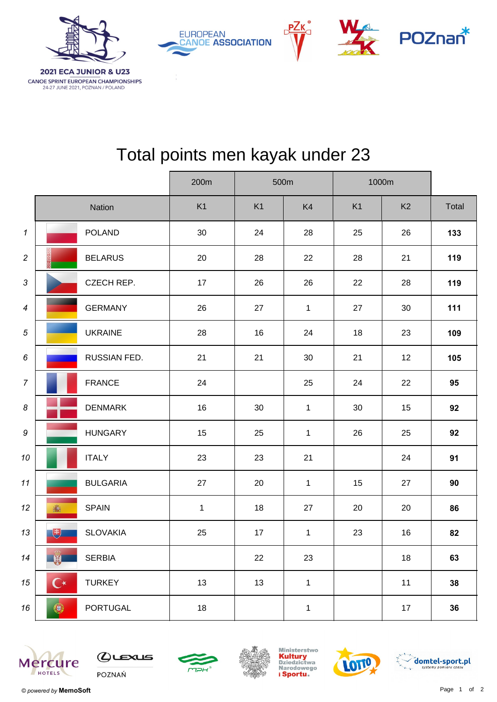





## Total points men kayak under 23

**PZK** 

|                            |                      | 200m<br>500m    |              | 1000m          |              |                |                |       |
|----------------------------|----------------------|-----------------|--------------|----------------|--------------|----------------|----------------|-------|
|                            |                      | <b>Nation</b>   | K1           | K <sub>1</sub> | K4           | K <sub>1</sub> | K <sub>2</sub> | Total |
| $\boldsymbol{\mathcal{L}}$ |                      | <b>POLAND</b>   | 30           | 24             | 28           | 25             | 26             | 133   |
| $\sqrt{2}$                 |                      | <b>BELARUS</b>  | 20           | 28             | 22           | 28             | 21             | 119   |
| $\mathfrak{Z}$             |                      | CZECH REP.      | 17           | 26             | 26           | 22             | 28             | 119   |
| $\boldsymbol{4}$           |                      | <b>GERMANY</b>  | 26           | 27             | $\mathbf{1}$ | 27             | 30             | 111   |
| $\sqrt{5}$                 |                      | <b>UKRAINE</b>  | 28           | 16             | 24           | 18             | 23             | 109   |
| 6                          |                      | RUSSIAN FED.    | 21           | 21             | 30           | 21             | 12             | 105   |
| $\overline{7}$             |                      | <b>FRANCE</b>   | 24           |                | 25           | 24             | 22             | 95    |
| $\boldsymbol{8}$           |                      | <b>DENMARK</b>  | 16           | 30             | $\mathbf{1}$ | 30             | 15             | 92    |
| $\boldsymbol{9}$           |                      | <b>HUNGARY</b>  | 15           | 25             | $\mathbf{1}$ | 26             | 25             | 92    |
| 10                         |                      | <b>ITALY</b>    | 23           | 23             | 21           |                | 24             | 91    |
| 11                         |                      | <b>BULGARIA</b> | 27           | 20             | $\mathbf{1}$ | 15             | 27             | 90    |
| 12                         | 瓣                    | <b>SPAIN</b>    | $\mathbf{1}$ | 18             | 27           | 20             | 20             | 86    |
| 13                         | 焽                    | <b>SLOVAKIA</b> | 25           | 17             | $\mathbf{1}$ | 23             | 16             | 82    |
| 14                         | <b>AND</b>           | <b>SERBIA</b>   |              | 22             | 23           |                | $18$           | 63    |
| 15                         | $\mathbf{C}^{\star}$ | <b>TURKEY</b>   | 13           | 13             | $\mathbf{1}$ |                | $11$           | 38    |
| 16                         | ۰                    | <b>PORTUGAL</b> | $18$         |                | $\mathbf{1}$ |                | $17\,$         | 36    |